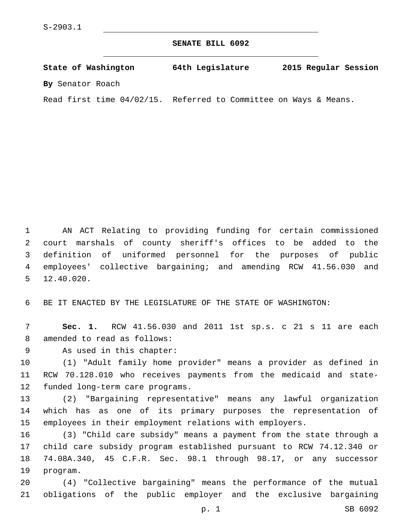**SENATE BILL 6092**

**State of Washington 64th Legislature 2015 Regular Session By** Senator Roach

Read first time 04/02/15. Referred to Committee on Ways & Means.

 AN ACT Relating to providing funding for certain commissioned court marshals of county sheriff's offices to be added to the definition of uniformed personnel for the purposes of public employees' collective bargaining; and amending RCW 41.56.030 and 12.40.020.5

6 BE IT ENACTED BY THE LEGISLATURE OF THE STATE OF WASHINGTON:

7 **Sec. 1.** RCW 41.56.030 and 2011 1st sp.s. c 21 s 11 are each 8 amended to read as follows:

9 As used in this chapter:

10 (1) "Adult family home provider" means a provider as defined in 11 RCW 70.128.010 who receives payments from the medicaid and state-12 funded long-term care programs.

13 (2) "Bargaining representative" means any lawful organization 14 which has as one of its primary purposes the representation of 15 employees in their employment relations with employers.

 (3) "Child care subsidy" means a payment from the state through a child care subsidy program established pursuant to RCW 74.12.340 or 74.08A.340, 45 C.F.R. Sec. 98.1 through 98.17, or any successor 19 program.

20 (4) "Collective bargaining" means the performance of the mutual 21 obligations of the public employer and the exclusive bargaining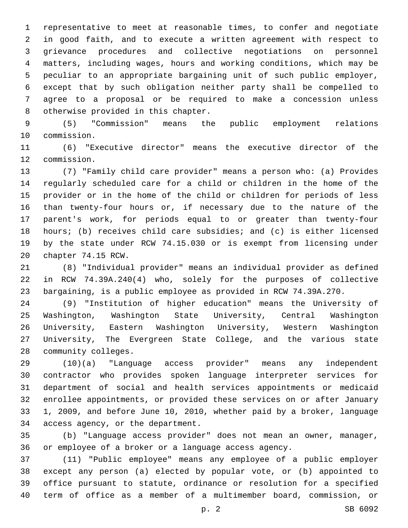representative to meet at reasonable times, to confer and negotiate in good faith, and to execute a written agreement with respect to grievance procedures and collective negotiations on personnel matters, including wages, hours and working conditions, which may be peculiar to an appropriate bargaining unit of such public employer, except that by such obligation neither party shall be compelled to agree to a proposal or be required to make a concession unless 8 otherwise provided in this chapter.

 (5) "Commission" means the public employment relations 10 commission.

 (6) "Executive director" means the executive director of the 12 commission.

 (7) "Family child care provider" means a person who: (a) Provides regularly scheduled care for a child or children in the home of the provider or in the home of the child or children for periods of less than twenty-four hours or, if necessary due to the nature of the parent's work, for periods equal to or greater than twenty-four hours; (b) receives child care subsidies; and (c) is either licensed by the state under RCW 74.15.030 or is exempt from licensing under 20 chapter 74.15 RCW.

 (8) "Individual provider" means an individual provider as defined in RCW 74.39A.240(4) who, solely for the purposes of collective bargaining, is a public employee as provided in RCW 74.39A.270.

 (9) "Institution of higher education" means the University of Washington, Washington State University, Central Washington University, Eastern Washington University, Western Washington University, The Evergreen State College, and the various state 28 community colleges.

 (10)(a) "Language access provider" means any independent contractor who provides spoken language interpreter services for department of social and health services appointments or medicaid enrollee appointments, or provided these services on or after January 1, 2009, and before June 10, 2010, whether paid by a broker, language 34 access agency, or the department.

 (b) "Language access provider" does not mean an owner, manager, or employee of a broker or a language access agency.

 (11) "Public employee" means any employee of a public employer except any person (a) elected by popular vote, or (b) appointed to office pursuant to statute, ordinance or resolution for a specified term of office as a member of a multimember board, commission, or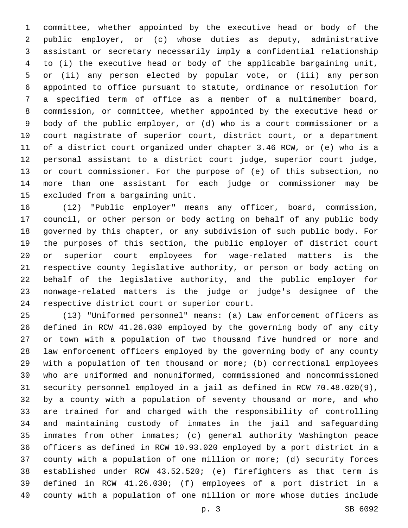committee, whether appointed by the executive head or body of the public employer, or (c) whose duties as deputy, administrative assistant or secretary necessarily imply a confidential relationship to (i) the executive head or body of the applicable bargaining unit, or (ii) any person elected by popular vote, or (iii) any person appointed to office pursuant to statute, ordinance or resolution for a specified term of office as a member of a multimember board, commission, or committee, whether appointed by the executive head or body of the public employer, or (d) who is a court commissioner or a court magistrate of superior court, district court, or a department of a district court organized under chapter 3.46 RCW, or (e) who is a personal assistant to a district court judge, superior court judge, or court commissioner. For the purpose of (e) of this subsection, no more than one assistant for each judge or commissioner may be 15 excluded from a bargaining unit.

 (12) "Public employer" means any officer, board, commission, council, or other person or body acting on behalf of any public body governed by this chapter, or any subdivision of such public body. For the purposes of this section, the public employer of district court or superior court employees for wage-related matters is the respective county legislative authority, or person or body acting on behalf of the legislative authority, and the public employer for nonwage-related matters is the judge or judge's designee of the 24 respective district court or superior court.

 (13) "Uniformed personnel" means: (a) Law enforcement officers as defined in RCW 41.26.030 employed by the governing body of any city or town with a population of two thousand five hundred or more and law enforcement officers employed by the governing body of any county with a population of ten thousand or more; (b) correctional employees who are uniformed and nonuniformed, commissioned and noncommissioned security personnel employed in a jail as defined in RCW 70.48.020(9), by a county with a population of seventy thousand or more, and who are trained for and charged with the responsibility of controlling and maintaining custody of inmates in the jail and safeguarding inmates from other inmates; (c) general authority Washington peace officers as defined in RCW 10.93.020 employed by a port district in a county with a population of one million or more; (d) security forces established under RCW 43.52.520; (e) firefighters as that term is defined in RCW 41.26.030; (f) employees of a port district in a county with a population of one million or more whose duties include